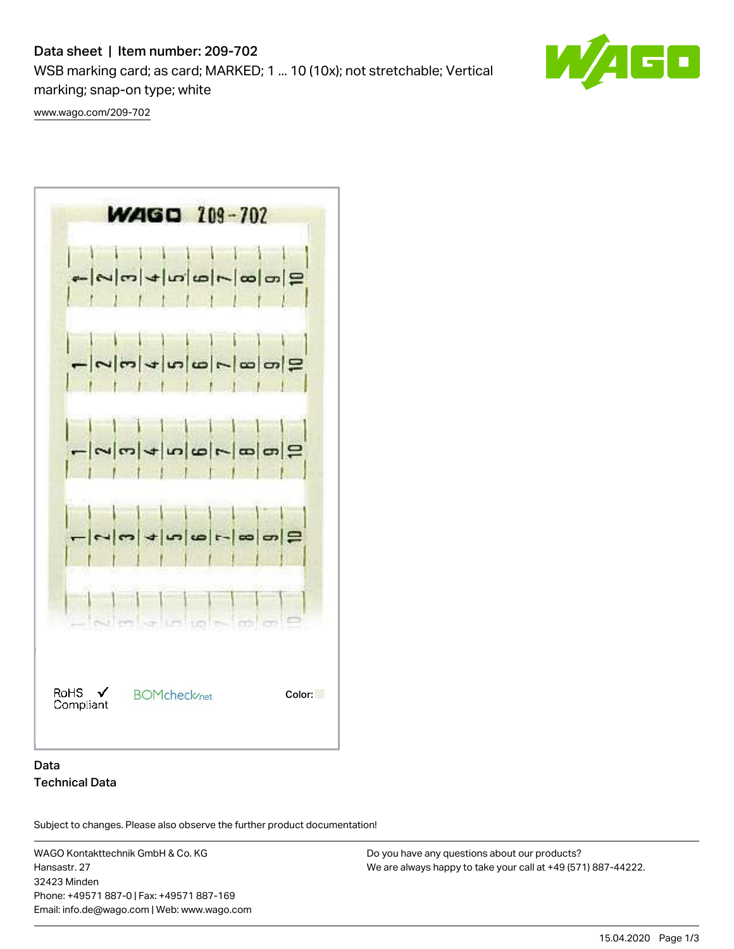# Data sheet | Item number: 209-702

WSB marking card; as card; MARKED; 1 ... 10 (10x); not stretchable; Vertical marking; snap-on type; white



[www.wago.com/209-702](http://www.wago.com/209-702)



### Data Technical Data

Subject to changes. Please also observe the further product documentation!

WAGO Kontakttechnik GmbH & Co. KG Hansastr. 27 32423 Minden Phone: +49571 887-0 | Fax: +49571 887-169 Email: info.de@wago.com | Web: www.wago.com

Do you have any questions about our products? We are always happy to take your call at +49 (571) 887-44222.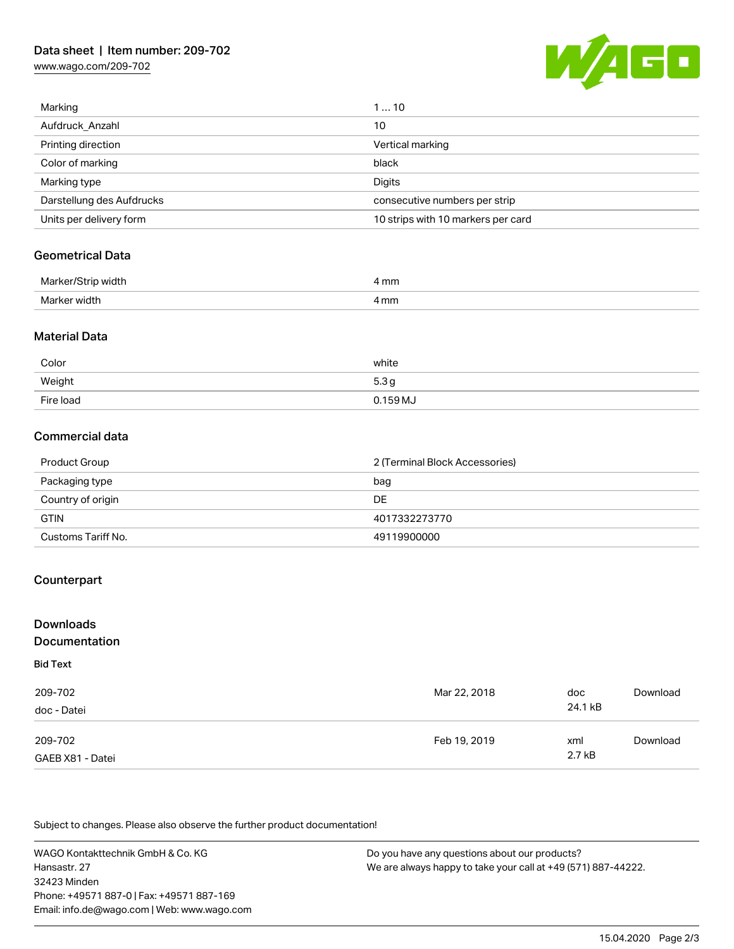## Data sheet | Item number: 209-702

[www.wago.com/209-702](http://www.wago.com/209-702)



| Marking                   | 110                                |
|---------------------------|------------------------------------|
| Aufdruck Anzahl           | 10                                 |
| Printing direction        | Vertical marking                   |
| Color of marking          | black                              |
| Marking type              | Digits                             |
| Darstellung des Aufdrucks | consecutive numbers per strip      |
| Units per delivery form   | 10 strips with 10 markers per card |

#### Geometrical Data

| Ma<br>. width   | 4 mm |
|-----------------|------|
| Marker<br>width | mm   |

#### Material Data

| Color     | white            |
|-----------|------------------|
| Weight    | 5.3 <sub>g</sub> |
| Fire load | $0.159$ MJ       |

### Commercial data

| Product Group      | 2 (Terminal Block Accessories) |  |
|--------------------|--------------------------------|--|
| Packaging type     | bag                            |  |
| Country of origin  | DE                             |  |
| <b>GTIN</b>        | 4017332273770                  |  |
| Customs Tariff No. | 49119900000                    |  |

### **Counterpart**

| <b>Downloads</b><br><b>Documentation</b> |              |         |          |
|------------------------------------------|--------------|---------|----------|
| <b>Bid Text</b>                          |              |         |          |
| 209-702                                  | Mar 22, 2018 | doc     | Download |
| doc - Datei                              |              | 24.1 kB |          |
| 209-702                                  | Feb 19, 2019 | xml     | Download |
| GAEB X81 - Datei                         |              | 2.7 kB  |          |

Subject to changes. Please also observe the further product documentation!

WAGO Kontakttechnik GmbH & Co. KG Hansastr. 27 32423 Minden Phone: +49571 887-0 | Fax: +49571 887-169 Email: info.de@wago.com | Web: www.wago.com

Do you have any questions about our products? We are always happy to take your call at +49 (571) 887-44222.